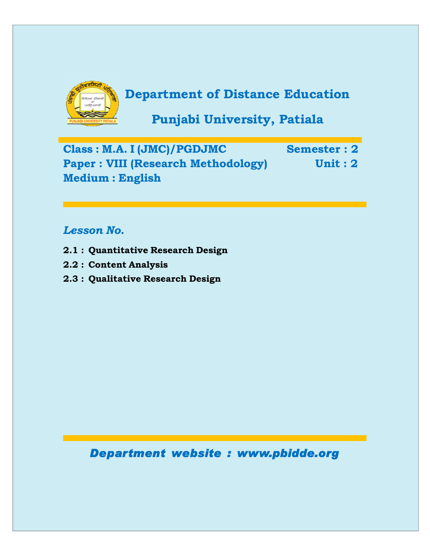

# **Department of Distance Education**

**Punjabi University, Patiala**

**Class : M.A. I (JMC)/PGDJMC Semester : 2 Paper : VIII (Research Methodology) Unit : 2 Medium : English**

# *Lesson No.*

- **2.1 : Quantitative Research Design**
- **2.2 : Content Analysis**
- **2.3 : Qualitative Research Design**

*Department website : www.pbidde.org*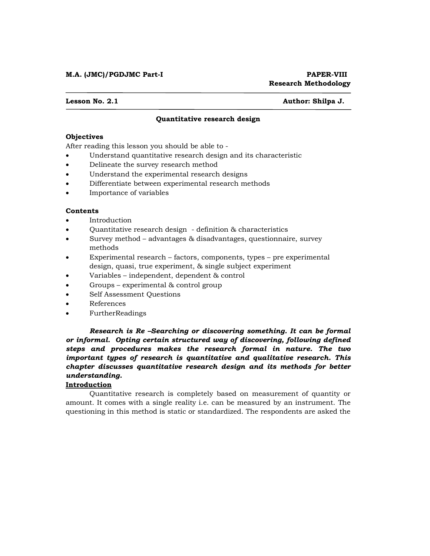## **M.A. (JMC)/PGDJMC Part-I PAPER-VIII**

**Lesson No. 2.1 Author: Shilpa J.**

# **Quantitative research design**

#### **Objectives**

After reading this lesson you should be able to -

- Understand quantitative research design and its characteristic
- Delineate the survey research method
- Understand the experimental research designs
- Differentiate between experimental research methods
- Importance of variables

#### **Contents**

- Introduction
- Quantitative research design definition & characteristics
- Survey method advantages & disadvantages, questionnaire, survey methods
- Experimental research factors, components, types pre experimental design, quasi, true experiment, & single subject experiment
- Variables independent, dependent & control
- Groups experimental & control group
- Self Assessment Questions
- References
- FurtherReadings

 *Research is Re –Searching or discovering something. It can be formal or informal. Opting certain structured way of discovering, following defined steps and procedures makes the research formal in nature. The two important types of research is quantitative and qualitative research. This chapter discusses quantitative research design and its methods for better understanding.* 

### **Introduction**

 Quantitative research is completely based on measurement of quantity or amount. It comes with a single reality i.e. can be measured by an instrument. The questioning in this method is static or standardized. The respondents are asked the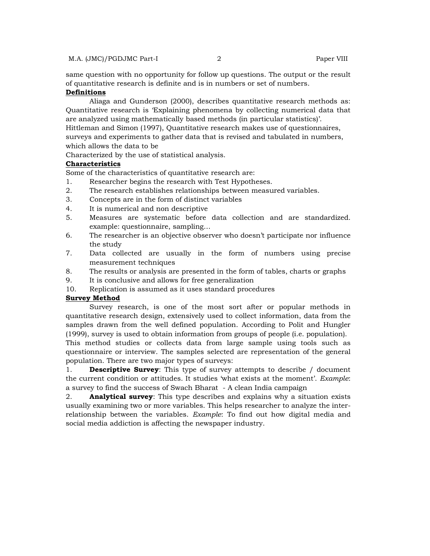same question with no opportunity for follow up questions. The output or the result of quantitative research is definite and is in numbers or set of numbers.

# **Definitions**

 Aliaga and Gunderson (2000), describes quantitative research methods as: Quantitative research is 'Explaining phenomena by collecting numerical data that are analyzed using mathematically based methods (in particular statistics)'.

Hittleman and Simon (1997), Quantitative research makes use of questionnaires, surveys and experiments to gather data that is revised and tabulated in numbers, which allows the data to be

Characterized by the use of statistical analysis.

### **Characteristics**

Some of the characteristics of quantitative research are:

- 1. Researcher begins the research with Test Hypotheses.
- 2. The research establishes relationships between measured variables.
- 3. Concepts are in the form of distinct variables
- 4. It is numerical and non descriptive
- 5. Measures are systematic before data collection and are standardized. example: questionnaire, sampling…
- 6. The researcher is an objective observer who doesn't participate nor influence the study
- 7. Data collected are usually in the form of numbers using precise measurement techniques
- 8. The results or analysis are presented in the form of tables, charts or graphs
- 9. It is conclusive and allows for free generalization
- 10. Replication is assumed as it uses standard procedures

#### **Survey Method**

 Survey research, is one of the most sort after or popular methods in quantitative research design, extensively used to collect information, data from the samples drawn from the well defined population. According to Polit and Hungler (1999), survey is used to obtain information from groups of people (i.e. population). This method studies or collects data from large sample using tools such as

questionnaire or interview. The samples selected are representation of the general population. There are two major types of surveys:

1. **Descriptive Survey**: This type of survey attempts to describe / document the current condition or attitudes. It studies 'what exists at the moment'. *Example*: a survey to find the success of Swach Bharat - A clean India campaign

2. **Analytical survey**: This type describes and explains why a situation exists usually examining two or more variables. This helps researcher to analyze the interrelationship between the variables. *Example*: To find out how digital media and social media addiction is affecting the newspaper industry.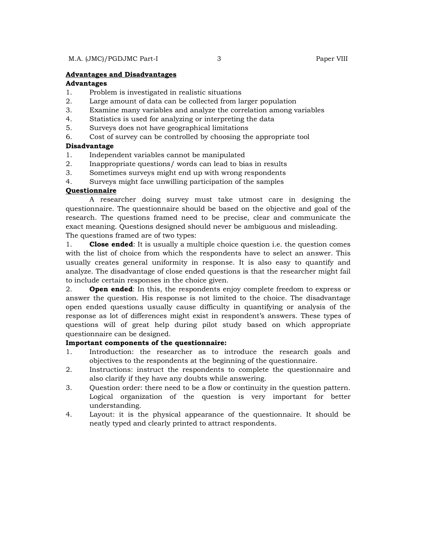#### **Advantages and Disadvantages**

#### **Advantages**

- 1. Problem is investigated in realistic situations
- 2. Large amount of data can be collected from larger population
- 3. Examine many variables and analyze the correlation among variables
- 4. Statistics is used for analyzing or interpreting the data
- 5. Surveys does not have geographical limitations
- 6. Cost of survey can be controlled by choosing the appropriate tool

# **Disadvantage**

- 1. Independent variables cannot be manipulated
- 2. Inappropriate questions/ words can lead to bias in results
- 3. Sometimes surveys might end up with wrong respondents
- 4. Surveys might face unwilling participation of the samples

### **Questionnaire**

 A researcher doing survey must take utmost care in designing the questionnaire. The questionnaire should be based on the objective and goal of the research. The questions framed need to be precise, clear and communicate the exact meaning. Questions designed should never be ambiguous and misleading. The questions framed are of two types:

1. **Close ended**: It is usually a multiple choice question i.e. the question comes with the list of choice from which the respondents have to select an answer. This usually creates general uniformity in response. It is also easy to quantify and analyze. The disadvantage of close ended questions is that the researcher might fail to include certain responses in the choice given.

2. **Open ended**: In this, the respondents enjoy complete freedom to express or answer the question. His response is not limited to the choice. The disadvantage open ended questions usually cause difficulty in quantifying or analysis of the response as lot of differences might exist in respondent's answers. These types of questions will of great help during pilot study based on which appropriate questionnaire can be designed.

# **Important components of the questionnaire:**

- 1. Introduction: the researcher as to introduce the research goals and objectives to the respondents at the beginning of the questionnaire.
- 2. Instructions: instruct the respondents to complete the questionnaire and also clarify if they have any doubts while answering.
- 3. Question order: there need to be a flow or continuity in the question pattern. Logical organization of the question is very important for better understanding.
- 4. Layout: it is the physical appearance of the questionnaire. It should be neatly typed and clearly printed to attract respondents.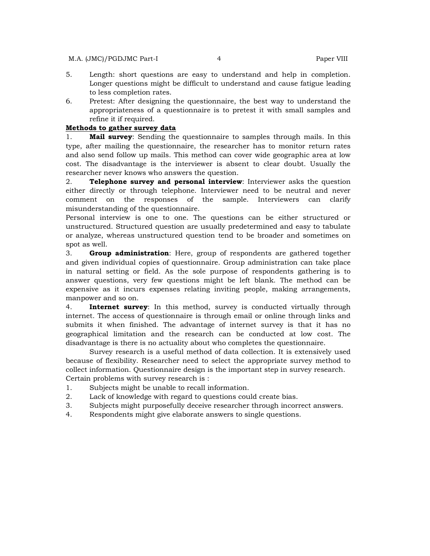- 5. Length: short questions are easy to understand and help in completion. Longer questions might be difficult to understand and cause fatigue leading to less completion rates.
- 6. Pretest: After designing the questionnaire, the best way to understand the appropriateness of a questionnaire is to pretest it with small samples and refine it if required.

#### **Methods to gather survey data**

1. **Mail survey**: Sending the questionnaire to samples through mails. In this type, after mailing the questionnaire, the researcher has to monitor return rates and also send follow up mails. This method can cover wide geographic area at low cost. The disadvantage is the interviewer is absent to clear doubt. Usually the researcher never knows who answers the question.

2. **Telephone survey and personal interview**: Interviewer asks the question either directly or through telephone. Interviewer need to be neutral and never comment on the responses of the sample. Interviewers can clarify misunderstanding of the questionnaire.

Personal interview is one to one. The questions can be either structured or unstructured. Structured question are usually predetermined and easy to tabulate or analyze, whereas unstructured question tend to be broader and sometimes on spot as well.

3. **Group administration**: Here, group of respondents are gathered together and given individual copies of questionnaire. Group administration can take place in natural setting or field. As the sole purpose of respondents gathering is to answer questions, very few questions might be left blank. The method can be expensive as it incurs expenses relating inviting people, making arrangements, manpower and so on.

4. **Internet survey**: In this method, survey is conducted virtually through internet. The access of questionnaire is through email or online through links and submits it when finished. The advantage of internet survey is that it has no geographical limitation and the research can be conducted at low cost. The disadvantage is there is no actuality about who completes the questionnaire.

 Survey research is a useful method of data collection. It is extensively used because of flexibility. Researcher need to select the appropriate survey method to collect information. Questionnaire design is the important step in survey research. Certain problems with survey research is :

- 1. Subjects might be unable to recall information.
- 2. Lack of knowledge with regard to questions could create bias.
- 3. Subjects might purposefully deceive researcher through incorrect answers.
- 4. Respondents might give elaborate answers to single questions.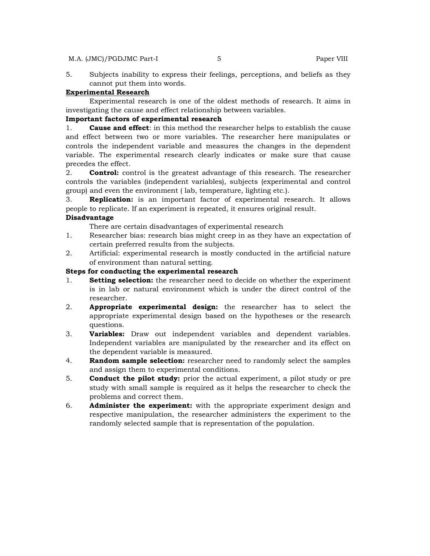#### M.A. (JMC)/PGDJMC Part-I 5 5 Paper VIII

5. Subjects inability to express their feelings, perceptions, and beliefs as they cannot put them into words.

#### **Experimental Research**

 Experimental research is one of the oldest methods of research. It aims in investigating the cause and effect relationship between variables.

# **Important factors of experimental research**

1. **Cause and effect**: in this method the researcher helps to establish the cause and effect between two or more variables. The researcher here manipulates or controls the independent variable and measures the changes in the dependent variable. The experimental research clearly indicates or make sure that cause precedes the effect.

2. **Control:** control is the greatest advantage of this research. The researcher controls the variables (independent variables), subjects (experimental and control group) and even the environment ( lab, temperature, lighting etc.).

3. **Replication:** is an important factor of experimental research. It allows people to replicate. If an experiment is repeated, it ensures original result.

# **Disadvantage**

There are certain disadvantages of experimental research

- 1. Researcher bias: research bias might creep in as they have an expectation of certain preferred results from the subjects.
- 2. Artificial: experimental research is mostly conducted in the artificial nature of environment than natural setting.

# **Steps for conducting the experimental research**

- 1. **Setting selection:** the researcher need to decide on whether the experiment is in lab or natural environment which is under the direct control of the researcher.
- 2. **Appropriate experimental design:** the researcher has to select the appropriate experimental design based on the hypotheses or the research questions.
- 3. **Variables:** Draw out independent variables and dependent variables. Independent variables are manipulated by the researcher and its effect on the dependent variable is measured.
- 4. **Random sample selection:** researcher need to randomly select the samples and assign them to experimental conditions.
- 5. **Conduct the pilot study:** prior the actual experiment, a pilot study or pre study with small sample is required as it helps the researcher to check the problems and correct them.
- 6. **Administer the experiment:** with the appropriate experiment design and respective manipulation, the researcher administers the experiment to the randomly selected sample that is representation of the population.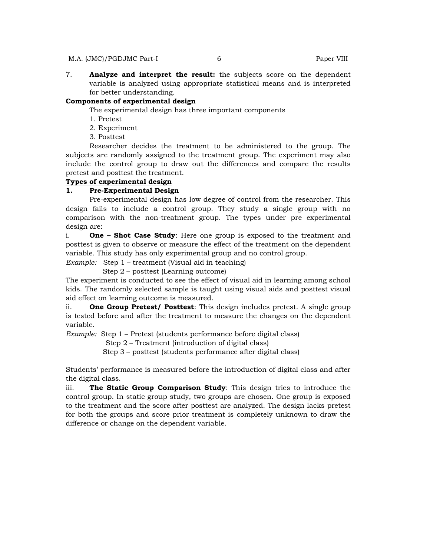7. **Analyze and interpret the result:** the subjects score on the dependent variable is analyzed using appropriate statistical means and is interpreted for better understanding.

# **Components of experimental design**

The experimental design has three important components

- 1. Pretest
- 2. Experiment
- 3. Posttest

 Researcher decides the treatment to be administered to the group. The subjects are randomly assigned to the treatment group. The experiment may also include the control group to draw out the differences and compare the results pretest and posttest the treatment.

### **Types of experimental design**

#### **1. Pre-Experimental Design**

 Pre-experimental design has low degree of control from the researcher. This design fails to include a control group. They study a single group with no comparison with the non-treatment group. The types under pre experimental design are:

i. **One – Shot Case Study**: Here one group is exposed to the treatment and posttest is given to observe or measure the effect of the treatment on the dependent variable. This study has only experimental group and no control group.

*Example:* Step 1 – treatment (Visual aid in teaching)

Step 2 – posttest (Learning outcome)

The experiment is conducted to see the effect of visual aid in learning among school kids. The randomly selected sample is taught using visual aids and posttest visual aid effect on learning outcome is measured.

ii. **One Group Pretest/ Posttest**: This design includes pretest. A single group is tested before and after the treatment to measure the changes on the dependent variable.

*Example:* Step 1 – Pretest (students performance before digital class)

Step 2 – Treatment (introduction of digital class)

Step 3 – posttest (students performance after digital class)

Students' performance is measured before the introduction of digital class and after the digital class.

iii. **The Static Group Comparison Study**: This design tries to introduce the control group. In static group study, two groups are chosen. One group is exposed to the treatment and the score after posttest are analyzed. The design lacks pretest for both the groups and score prior treatment is completely unknown to draw the difference or change on the dependent variable.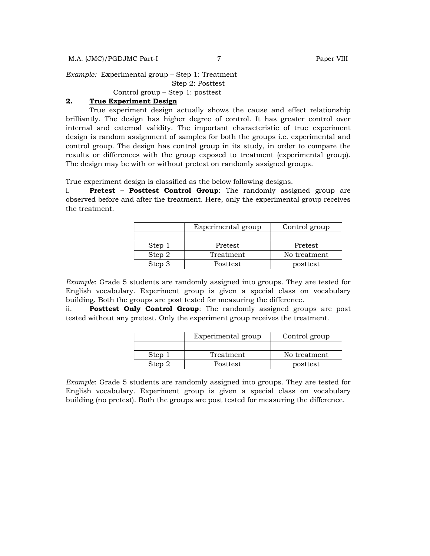*Example:* Experimental group – Step 1: Treatment

Step 2: Posttest

Control group – Step 1: posttest

# **2. True Experiment Design**

 True experiment design actually shows the cause and effect relationship brilliantly. The design has higher degree of control. It has greater control over internal and external validity. The important characteristic of true experiment design is random assignment of samples for both the groups i.e. experimental and control group. The design has control group in its study, in order to compare the results or differences with the group exposed to treatment (experimental group). The design may be with or without pretest on randomly assigned groups.

True experiment design is classified as the below following designs.

i. **Pretest – Posttest Control Group**: The randomly assigned group are observed before and after the treatment. Here, only the experimental group receives the treatment.

|        | Experimental group | Control group |
|--------|--------------------|---------------|
|        |                    |               |
| Step 1 | Pretest            | Pretest       |
| Step 2 | Treatment          | No treatment  |
| Step 3 | Posttest           | posttest      |

*Example*: Grade 5 students are randomly assigned into groups. They are tested for English vocabulary. Experiment group is given a special class on vocabulary building. Both the groups are post tested for measuring the difference.

ii. **Posttest Only Control Group**: The randomly assigned groups are post tested without any pretest. Only the experiment group receives the treatment.

|        | Experimental group | Control group |
|--------|--------------------|---------------|
|        |                    |               |
| Step 1 | Treatment          | No treatment  |
| Step 2 | <b>Posttest</b>    | posttest      |

*Example*: Grade 5 students are randomly assigned into groups. They are tested for English vocabulary. Experiment group is given a special class on vocabulary building (no pretest). Both the groups are post tested for measuring the difference.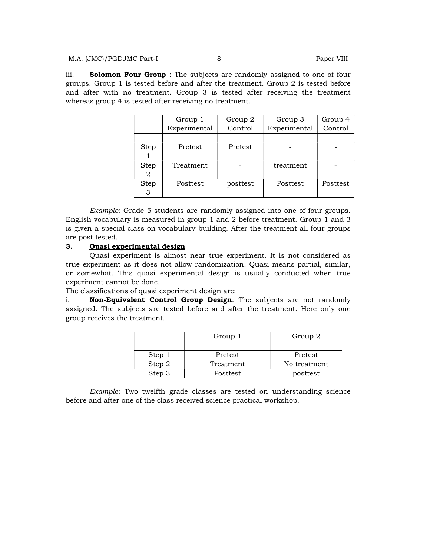#### M.A. (JMC)/PGDJMC Part-I 8 8 Paper VIII

iii. **Solomon Four Group** : The subjects are randomly assigned to one of four groups. Group 1 is tested before and after the treatment. Group 2 is tested before and after with no treatment. Group 3 is tested after receiving the treatment whereas group 4 is tested after receiving no treatment.

|                  | Group 1         | Group 2  | Group 3      | Group 4  |
|------------------|-----------------|----------|--------------|----------|
|                  | Experimental    | Control  | Experimental | Control  |
|                  |                 |          |              |          |
| Step             | Pretest         | Pretest  |              |          |
| <b>Step</b><br>2 | Treatment       |          | treatment    |          |
| <b>Step</b><br>3 | <b>Posttest</b> | posttest | Posttest     | Posttest |

 *Example*: Grade 5 students are randomly assigned into one of four groups. English vocabulary is measured in group 1 and 2 before treatment. Group 1 and 3 is given a special class on vocabulary building. After the treatment all four groups are post tested.

### **3. Quasi experimental design**

 Quasi experiment is almost near true experiment. It is not considered as true experiment as it does not allow randomization. Quasi means partial, similar, or somewhat. This quasi experimental design is usually conducted when true experiment cannot be done.

The classifications of quasi experiment design are:

i. **Non-Equivalent Control Group Design**: The subjects are not randomly assigned. The subjects are tested before and after the treatment. Here only one group receives the treatment.

|        | Group 1   | Group 2      |
|--------|-----------|--------------|
|        |           |              |
| Step 1 | Pretest   | Pretest      |
| Step 2 | Treatment | No treatment |
| Step 3 | Posttest  | posttest     |

 *Example*: Two twelfth grade classes are tested on understanding science before and after one of the class received science practical workshop.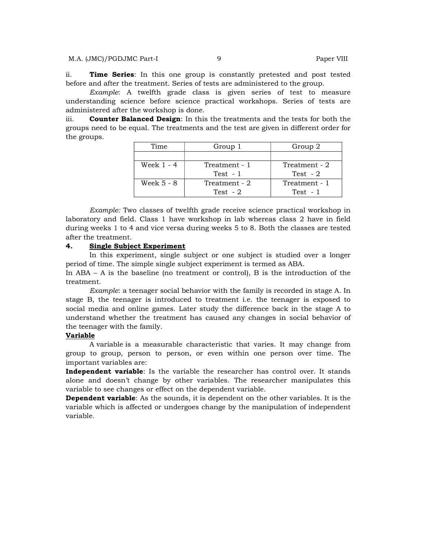ii. **Time Series**: In this one group is constantly pretested and post tested before and after the treatment. Series of tests are administered to the group.

 *Example*: A twelfth grade class is given series of test to measure understanding science before science practical workshops. Series of tests are administered after the workshop is done.

iii. **Counter Balanced Design**: In this the treatments and the tests for both the groups need to be equal. The treatments and the test are given in different order for the groups.

| Time       | Group 1       | Group 2       |
|------------|---------------|---------------|
|            |               |               |
| Week 1 - 4 | Treatment - 1 | Treatment - 2 |
|            | Test $-1$     | Test $-2$     |
| Week 5 - 8 | Treatment - 2 | Treatment - 1 |
|            | Test $-2$     | Test $-1$     |

 *Example:* Two classes of twelfth grade receive science practical workshop in laboratory and field. Class 1 have workshop in lab whereas class 2 have in field during weeks 1 to 4 and vice versa during weeks 5 to 8. Both the classes are tested after the treatment.

#### **4. Single Subject Experiment**

 In this experiment, single subject or one subject is studied over a longer period of time. The simple single subject experiment is termed as ABA.

In ABA – A is the baseline (no treatment or control), B is the introduction of the treatment.

*Example*: a teenager social behavior with the family is recorded in stage A. In stage B, the teenager is introduced to treatment i.e. the teenager is exposed to social media and online games. Later study the difference back in the stage A to understand whether the treatment has caused any changes in social behavior of the teenager with the family.

## **Variable**

 A variable is a measurable characteristic that varies. It may change from group to group, person to person, or even within one person over time. The important variables are:

**Independent variable**: Is the variable the researcher has control over. It stands alone and doesn't change by other variables. The researcher manipulates this variable to see changes or effect on the dependent variable.

**Dependent variable**: As the sounds, it is dependent on the other variables. It is the variable which is affected or undergoes change by the manipulation of independent variable.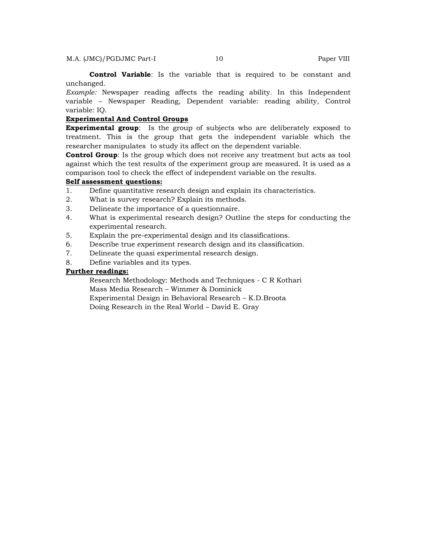**Control Variable**: Is the variable that is required to be constant and unchanged.

*Example:* Newspaper reading affects the reading ability. In this Independent variable – Newspaper Reading, Dependent variable: reading ability, Control variable: IQ.

# **Experimental And Control Groups**

**Experimental group**: Is the group of subjects who are deliberately exposed to treatment. This is the group that gets the independent variable which the researcher manipulates to study its affect on the dependent variable.

**Control Group**: Is the group which does not receive any treatment but acts as tool against which the test results of the experiment group are measured. It is used as a comparison tool to check the effect of independent variable on the results.

### **Self assessment questions:**

- 1. Define quantitative research design and explain its characteristics.
- 2. What is survey research? Explain its methods.
- 3. Delineate the importance of a questionnaire.
- 4. What is experimental research design? Outline the steps for conducting the experimental research.
- 5. Explain the pre-experimental design and its classifications.
- 6. Describe true experiment research design and its classification.
- 7. Delineate the quasi experimental research design.
- 8. Define variables and its types.

# **Further readings:**

Research Methodology: Methods and Techniques - C R Kothari Mass Media Research – Wimmer & Dominick Experimental Design in Behavioral Research – K.D.Broota Doing Research in the Real World – David E. Gray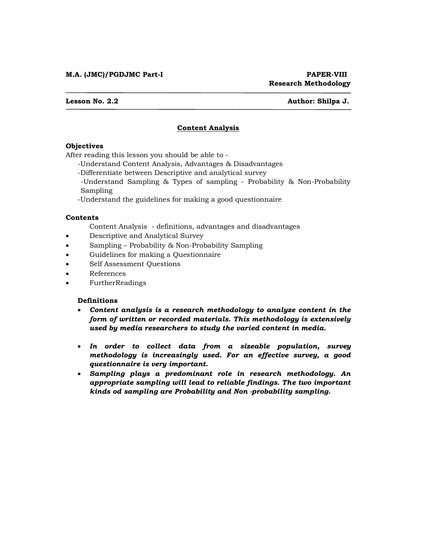#### **Lesson No. 2.2 Author: Shilpa J.**

# **Content Analysis**

# **Objectives**

After reading this lesson you should be able to -

-Understand Content Analysis, Advantages & Disadvantages

-Differentiate between Descriptive and analytical survey

-Understand Sampling & Types of sampling - Probability & Non-Probability Sampling

-Understand the guidelines for making a good questionnaire

## **Contents**

Content Analysis - definitions, advantages and disadvantages

- Descriptive and Analytical Survey
- Sampling Probability & Non-Probability Sampling
- Guidelines for making a Questionnaire
- Self Assessment Questions
- References
- FurtherReadings

## **Definitions**

- *Content analysis is a research methodology to analyze content in the form of written or recorded materials. This methodology is extensively used by media researchers to study the varied content in media.*
- *In order to collect data from a sizeable population, survey methodology is increasingly used. For an effective survey, a good questionnaire is very important.*
- *Sampling plays a predominant role in research methodology. An appropriate sampling will lead to reliable findings. The two important kinds od sampling are Probability and Non -probability sampling.*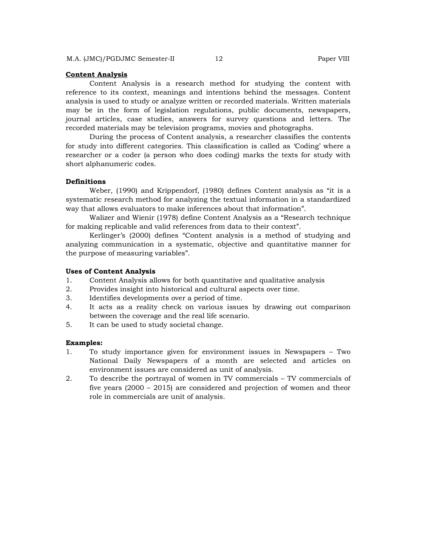#### **Content Analysis**

 Content Analysis is a research method for studying the content with reference to its context, meanings and intentions behind the messages. Content analysis is used to study or analyze written or recorded materials. Written materials may be in the form of legislation regulations, public documents, newspapers, journal articles, case studies, answers for survey questions and letters. The recorded materials may be television programs, movies and photographs.

 During the process of Content analysis, a researcher classifies the contents for study into different categories. This classification is called as 'Coding' where a researcher or a coder (a person who does coding) marks the texts for study with short alphanumeric codes.

### **Definitions**

 Weber, (1990) and Krippendorf, (1980) defines Content analysis as "it is a systematic research method for analyzing the textual information in a standardized way that allows evaluators to make inferences about that information".

 Walizer and Wienir (1978) define Content Analysis as a "Research technique for making replicable and valid references from data to their context".

 Kerlinger's (2000) defines "Content analysis is a method of studying and analyzing communication in a systematic, objective and quantitative manner for the purpose of measuring variables".

#### **Uses of Content Analysis**

- 1. Content Analysis allows for both quantitative and qualitative analysis
- 2. Provides insight into historical and cultural aspects over time.
- 3. Identifies developments over a period of time.
- 4. It acts as a reality check on various issues by drawing out comparison between the coverage and the real life scenario.
- 5. It can be used to study societal change.

#### **Examples:**

- 1. To study importance given for environment issues in Newspapers Two National Daily Newspapers of a month are selected and articles on environment issues are considered as unit of analysis.
- 2. To describe the portrayal of women in TV commercials TV commercials of five years (2000 – 2015) are considered and projection of women and theor role in commercials are unit of analysis.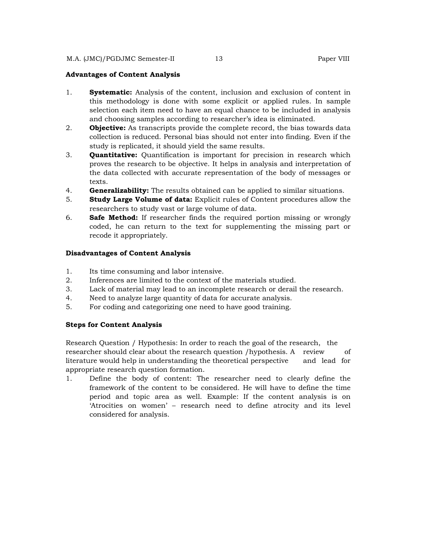## **Advantages of Content Analysis**

- 1. **Systematic:** Analysis of the content, inclusion and exclusion of content in this methodology is done with some explicit or applied rules. In sample selection each item need to have an equal chance to be included in analysis and choosing samples according to researcher's idea is eliminated.
- 2. **Objective:** As transcripts provide the complete record, the bias towards data collection is reduced. Personal bias should not enter into finding. Even if the study is replicated, it should yield the same results.
- 3. **Quantitative:** Quantification is important for precision in research which proves the research to be objective. It helps in analysis and interpretation of the data collected with accurate representation of the body of messages or texts.
- 4. **Generalizability:** The results obtained can be applied to similar situations.
- 5. **Study Large Volume of data:** Explicit rules of Content procedures allow the researchers to study vast or large volume of data.
- 6. **Safe Method:** If researcher finds the required portion missing or wrongly coded, he can return to the text for supplementing the missing part or recode it appropriately.

### **Disadvantages of Content Analysis**

- 1. Its time consuming and labor intensive.
- 2. Inferences are limited to the context of the materials studied.
- 3. Lack of material may lead to an incomplete research or derail the research.
- 4. Need to analyze large quantity of data for accurate analysis.
- 5. For coding and categorizing one need to have good training.

### **Steps for Content Analysis**

Research Question / Hypothesis: In order to reach the goal of the research, the researcher should clear about the research question /hypothesis. A review of literature would help in understanding the theoretical perspective and lead for appropriate research question formation.

1. Define the body of content: The researcher need to clearly define the framework of the content to be considered. He will have to define the time period and topic area as well. Example: If the content analysis is on 'Atrocities on women' – research need to define atrocity and its level considered for analysis.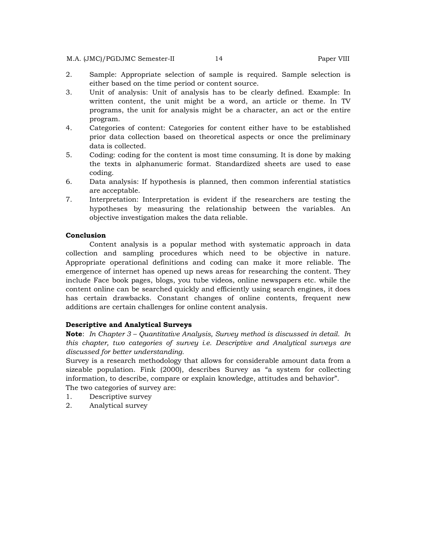#### M.A. (JMC)/PGDJMC Semester-II 14 Paper VIII

- 2. Sample: Appropriate selection of sample is required. Sample selection is either based on the time period or content source.
- 3. Unit of analysis: Unit of analysis has to be clearly defined. Example: In written content, the unit might be a word, an article or theme. In TV programs, the unit for analysis might be a character, an act or the entire program.
- 4. Categories of content: Categories for content either have to be established prior data collection based on theoretical aspects or once the preliminary data is collected.
- 5. Coding: coding for the content is most time consuming. It is done by making the texts in alphanumeric format. Standardized sheets are used to ease coding.
- 6. Data analysis: If hypothesis is planned, then common inferential statistics are acceptable.
- 7. Interpretation: Interpretation is evident if the researchers are testing the hypotheses by measuring the relationship between the variables. An objective investigation makes the data reliable.

## **Conclusion**

 Content analysis is a popular method with systematic approach in data collection and sampling procedures which need to be objective in nature. Appropriate operational definitions and coding can make it more reliable. The emergence of internet has opened up news areas for researching the content. They include Face book pages, blogs, you tube videos, online newspapers etc. while the content online can be searched quickly and efficiently using search engines, it does has certain drawbacks. Constant changes of online contents, frequent new additions are certain challenges for online content analysis.

# **Descriptive and Analytical Surveys**

**Note**: *In Chapter 3 – Quantitative Analysis, Survey method is discussed in detail. In this chapter, two categories of survey i.e. Descriptive and Analytical surveys are discussed for better understanding.* 

Survey is a research methodology that allows for considerable amount data from a sizeable population. Fink (2000), describes Survey as "a system for collecting information, to describe, compare or explain knowledge, attitudes and behavior". The two categories of survey are:

- 1. Descriptive survey
- 2. Analytical survey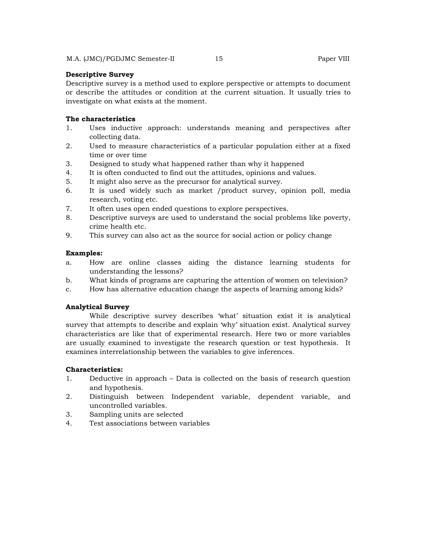### **Descriptive Survey**

Descriptive survey is a method used to explore perspective or attempts to document or describe the attitudes or condition at the current situation. It usually tries to investigate on what exists at the moment.

# **The characteristics**

- 1. Uses inductive approach: understands meaning and perspectives after collecting data.
- 2. Used to measure characteristics of a particular population either at a fixed time or over time
- 3. Designed to study what happened rather than why it happened
- 4. It is often conducted to find out the attitudes, opinions and values.
- 5. It might also serve as the precursor for analytical survey.
- 6. It is used widely such as market /product survey, opinion poll, media research, voting etc.
- 7. It often uses open ended questions to explore perspectives.
- 8. Descriptive surveys are used to understand the social problems like poverty, crime health etc.
- 9. This survey can also act as the source for social action or policy change

### **Examples:**

- a. How are online classes aiding the distance learning students for understanding the lessons?
- b. What kinds of programs are capturing the attention of women on television?
- c. How has alternative education change the aspects of learning among kids?

# **Analytical Survey**

 While descriptive survey describes 'what' situation exist it is analytical survey that attempts to describe and explain 'why' situation exist. Analytical survey characteristics are like that of experimental research. Here two or more variables are usually examined to investigate the research question or test hypothesis. It examines interrelationship between the variables to give inferences.

## **Characteristics:**

- 1. Deductive in approach Data is collected on the basis of research question and hypothesis.
- 2. Distinguish between Independent variable, dependent variable, and uncontrolled variables.
- 3. Sampling units are selected
- 4. Test associations between variables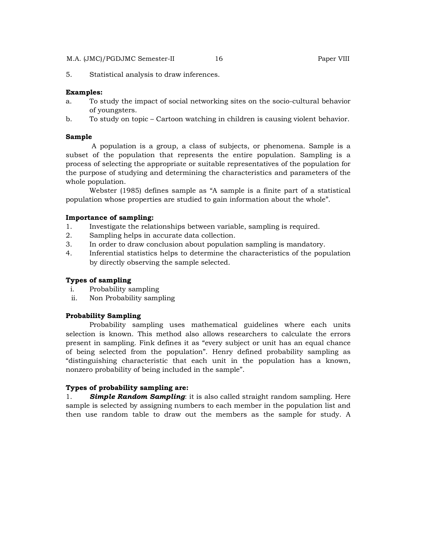#### M.A. (JMC)/PGDJMC Semester-II 16 Paper VIII

5. Statistical analysis to draw inferences.

### **Examples:**

- a. To study the impact of social networking sites on the socio-cultural behavior of youngsters.
- b. To study on topic Cartoon watching in children is causing violent behavior.

#### **Sample**

 A population is a group, a class of subjects, or phenomena. Sample is a subset of the population that represents the entire population. Sampling is a process of selecting the appropriate or suitable representatives of the population for the purpose of studying and determining the characteristics and parameters of the whole population.

 Webster (1985) defines sample as "A sample is a finite part of a statistical population whose properties are studied to gain information about the whole".

#### **Importance of sampling:**

- 1. Investigate the relationships between variable, sampling is required.
- 2. Sampling helps in accurate data collection.
- 3. In order to draw conclusion about population sampling is mandatory.
- 4. Inferential statistics helps to determine the characteristics of the population by directly observing the sample selected.

#### **Types of sampling**

- i. Probability sampling
- ii. Non Probability sampling

# **Probability Sampling**

 Probability sampling uses mathematical guidelines where each units selection is known. This method also allows researchers to calculate the errors present in sampling. Fink defines it as "every subject or unit has an equal chance of being selected from the population". Henry defined probability sampling as "distinguishing characteristic that each unit in the population has a known, nonzero probability of being included in the sample".

#### **Types of probability sampling are:**

1. *Simple Random Sampling*: it is also called straight random sampling. Here sample is selected by assigning numbers to each member in the population list and then use random table to draw out the members as the sample for study. A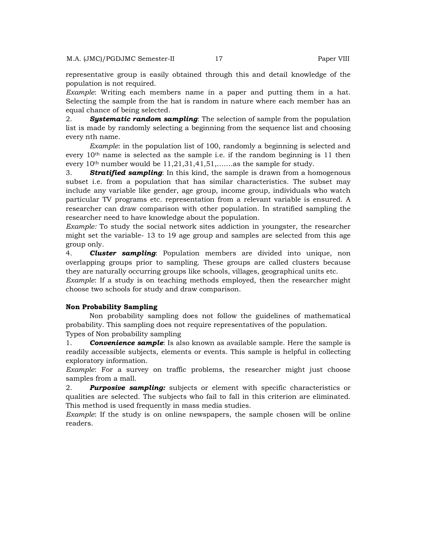representative group is easily obtained through this and detail knowledge of the population is not required.

*Example*: Writing each members name in a paper and putting them in a hat. Selecting the sample from the hat is random in nature where each member has an equal chance of being selected.

2. *Systematic random sampling*: The selection of sample from the population list is made by randomly selecting a beginning from the sequence list and choosing every nth name.

*Example*: in the population list of 100, randomly a beginning is selected and every 10th name is selected as the sample i.e. if the random beginning is 11 then every 10th number would be 11,21,31,41,51,…….as the sample for study.

3. *Stratified sampling*: In this kind, the sample is drawn from a homogenous subset i.e. from a population that has similar characteristics. The subset may include any variable like gender, age group, income group, individuals who watch particular TV programs etc. representation from a relevant variable is ensured. A researcher can draw comparison with other population. In stratified sampling the researcher need to have knowledge about the population.

*Example:* To study the social network sites addiction in youngster, the researcher might set the variable- 13 to 19 age group and samples are selected from this age group only.

4. *Cluster sampling*: Population members are divided into unique, non overlapping groups prior to sampling. These groups are called clusters because they are naturally occurring groups like schools, villages, geographical units etc.

*Example*: If a study is on teaching methods employed, then the researcher might choose two schools for study and draw comparison.

#### **Non Probability Sampling**

 Non probability sampling does not follow the guidelines of mathematical probability. This sampling does not require representatives of the population.

Types of Non probability sampling

1. *Convenience sample*: Is also known as available sample. Here the sample is readily accessible subjects, elements or events. This sample is helpful in collecting exploratory information.

*Example*: For a survey on traffic problems, the researcher might just choose samples from a mall.

2. *Purposive sampling:* subjects or element with specific characteristics or qualities are selected. The subjects who fail to fall in this criterion are eliminated. This method is used frequently in mass media studies.

*Example*: If the study is on online newspapers, the sample chosen will be online readers.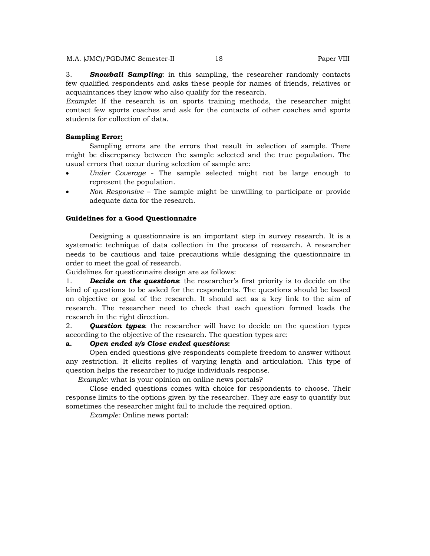3. *Snowball Sampling*: in this sampling, the researcher randomly contacts few qualified respondents and asks these people for names of friends, relatives or acquaintances they know who also qualify for the research.

*Example*: If the research is on sports training methods, the researcher might contact few sports coaches and ask for the contacts of other coaches and sports students for collection of data.

#### **Sampling Error:**

 Sampling errors are the errors that result in selection of sample. There might be discrepancy between the sample selected and the true population. The usual errors that occur during selection of sample are:

- *Under Coverage* The sample selected might not be large enough to represent the population.
- *Non Responsive* The sample might be unwilling to participate or provide adequate data for the research.

#### **Guidelines for a Good Questionnaire**

 Designing a questionnaire is an important step in survey research. It is a systematic technique of data collection in the process of research. A researcher needs to be cautious and take precautions while designing the questionnaire in order to meet the goal of research.

Guidelines for questionnaire design are as follows:

1. *Decide on the questions*: the researcher's first priority is to decide on the kind of questions to be asked for the respondents. The questions should be based on objective or goal of the research. It should act as a key link to the aim of research. The researcher need to check that each question formed leads the research in the right direction.

2. *Question types*: the researcher will have to decide on the question types according to the objective of the research. The question types are:

# **a.** *Open ended v/s Close ended questions***:**

 Open ended questions give respondents complete freedom to answer without any restriction. It elicits replies of varying length and articulation. This type of question helps the researcher to judge individuals response.

*Example*: what is your opinion on online news portals?

 Close ended questions comes with choice for respondents to choose. Their response limits to the options given by the researcher. They are easy to quantify but sometimes the researcher might fail to include the required option.

*Example:* Online news portal: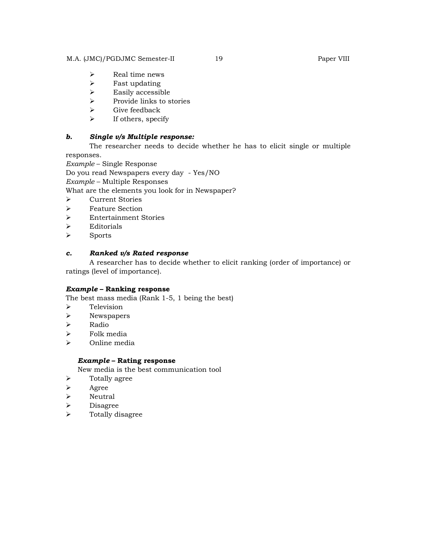#### M.A. (JMC)/PGDJMC Semester-II 19 Paper VIII

- $\triangleright$  Real time news
- $\triangleright$  Fast updating
- $\triangleright$  Easily accessible
- $\triangleright$  Provide links to stories
- $\triangleright$  Give feedback
- $\triangleright$  If others, specify

# *b. Single v/s Multiple response:*

 The researcher needs to decide whether he has to elicit single or multiple responses.

*Example* – Single Response

Do you read Newspapers every day - Yes/NO

*Example* – Multiple Responses

What are the elements you look for in Newspaper?

- Current Stories
- Feature Section
- Entertainment Stories
- $\triangleright$  Editorials
- > Sports

# *c. Ranked v/s Rated response*

 A researcher has to decide whether to elicit ranking (order of importance) or ratings (level of importance).

# *Example* **– Ranking response**

The best mass media (Rank 1-5, 1 being the best)

- > Television
- $\triangleright$  Newspapers
- Radio
- $\triangleright$  Folk media
- $\triangleright$  Online media

# *Example* **– Rating response**

New media is the best communication tool

- $\triangleright$  Totally agree
- $\triangleright$  Agree
- > Neutral
- > Disagree
- > Totally disagree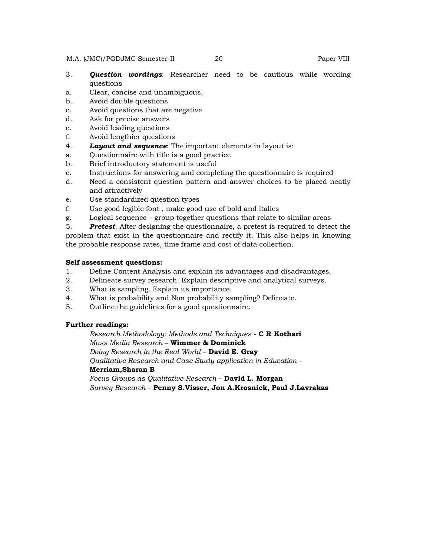#### M.A. (JMC)/PGDJMC Semester-II 20 Paper VIII

- 3. *Question wordings*: Researcher need to be cautious while wording questions
- a. Clear, concise and unambiguous,
- b. Avoid double questions
- c. Avoid questions that are negative
- d. Ask for precise answers
- e. Avoid leading questions
- f. Avoid lengthier questions
- 4. *Layout and sequence*: The important elements in layout is:
- a. Questionnaire with title is a good practice
- b. Brief introductory statement is useful
- c. Instructions for answering and completing the questionnaire is required
- d. Need a consistent question pattern and answer choices to be placed neatly and attractively
- e. Use standardized question types
- f. Use good legible font , make good use of bold and italics
- g. Logical sequence group together questions that relate to similar areas
- 5. *Pretest*: After designing the questionnaire, a pretest is required to detect the problem that exist in the questionnaire and rectify it. This also helps in knowing the probable response rates, time frame and cost of data collection.

# **Self assessment questions:**

- 1. Define Content Analysis and explain its advantages and disadvantages.
- 2. Delineate survey research. Explain descriptive and analytical surveys.
- 3. What is sampling. Explain its importance.
- 4. What is probability and Non probability sampling? Delineate.
- 5. Outline the guidelines for a good questionnaire.

# **Further readings:**

*Research Methodology: Methods and Techniques* - **C R Kothari** *Mass Media Research* – **Wimmer & Dominick** *Doing Research in the Real World* – **David E. Gray** *Qualitative Research and Case Study application in Education* – **Merriam,Sharan B**

*Focus Groups as Qualitative Research* – **David L. Morgan** *Survey Research* – **Penny S.Visser, Jon A.Krosnick, Paul J.Lavrakas**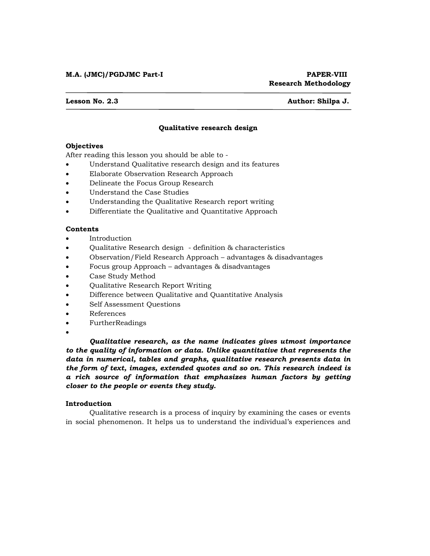#### **Lesson No. 2.3 Author: Shilpa J.**

# **Qualitative research design**

#### **Objectives**

After reading this lesson you should be able to -

- Understand Qualitative research design and its features
- Elaborate Observation Research Approach
- Delineate the Focus Group Research
- Understand the Case Studies
- Understanding the Qualitative Research report writing
- Differentiate the Qualitative and Quantitative Approach

### **Contents**

- Introduction
- Qualitative Research design definition & characteristics
- Observation/Field Research Approach advantages & disadvantages
- Focus group Approach advantages & disadvantages
- Case Study Method
- Qualitative Research Report Writing
- Difference between Qualitative and Quantitative Analysis
- Self Assessment Questions
- References
- FurtherReadings
- $\bullet$

 *Qualitative research, as the name indicates gives utmost importance to the quality of information or data. Unlike quantitative that represents the data in numerical, tables and graphs, qualitative research presents data in the form of text, images, extended quotes and so on. This research indeed is a rich source of information that emphasizes human factors by getting closer to the people or events they study.* 

#### **Introduction**

 Qualitative research is a process of inquiry by examining the cases or events in social phenomenon. It helps us to understand the individual's experiences and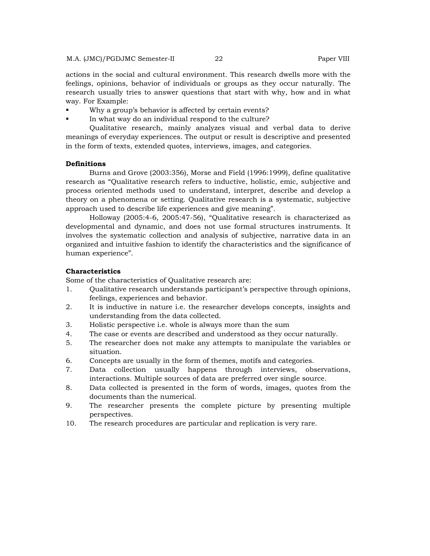actions in the social and cultural environment. This research dwells more with the feelings, opinions, behavior of individuals or groups as they occur naturally. The research usually tries to answer questions that start with why, how and in what way. For Example:

- Why a group's behavior is affected by certain events?
- In what way do an individual respond to the culture?

 Qualitative research, mainly analyzes visual and verbal data to derive meanings of everyday experiences. The output or result is descriptive and presented in the form of texts, extended quotes, interviews, images, and categories.

#### **Definitions**

 Burns and Grove (2003:356), Morse and Field (1996:1999), define qualitative research as "Qualitative research refers to inductive, holistic, emic, subjective and process oriented methods used to understand, interpret, describe and develop a theory on a phenomena or setting. Qualitative research is a systematic, subjective approach used to describe life experiences and give meaning".

 Holloway (2005:4-6, 2005:47-56), "Qualitative research is characterized as developmental and dynamic, and does not use formal structures instruments. It involves the systematic collection and analysis of subjective, narrative data in an organized and intuitive fashion to identify the characteristics and the significance of human experience".

# **Characteristics**

Some of the characteristics of Qualitative research are:

- 1. Qualitative research understands participant's perspective through opinions, feelings, experiences and behavior.
- 2. It is inductive in nature i.e. the researcher develops concepts, insights and understanding from the data collected.
- 3. Holistic perspective i.e. whole is always more than the sum
- 4. The case or events are described and understood as they occur naturally.
- 5. The researcher does not make any attempts to manipulate the variables or situation.
- 6. Concepts are usually in the form of themes, motifs and categories.
- 7. Data collection usually happens through interviews, observations, interactions. Multiple sources of data are preferred over single source.
- 8. Data collected is presented in the form of words, images, quotes from the documents than the numerical.
- 9. The researcher presents the complete picture by presenting multiple perspectives.
- 10. The research procedures are particular and replication is very rare.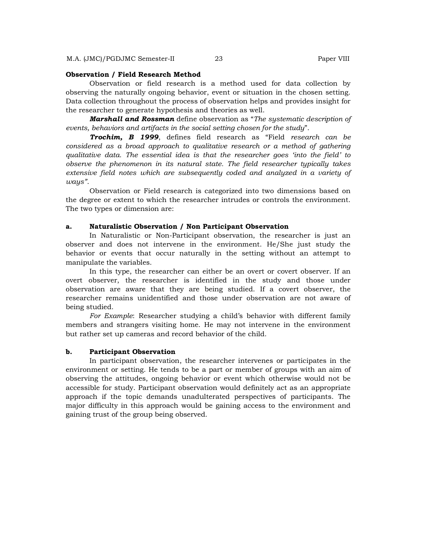#### **Observation / Field Research Method**

 Observation or field research is a method used for data collection by observing the naturally ongoing behavior, event or situation in the chosen setting. Data collection throughout the process of observation helps and provides insight for the researcher to generate hypothesis and theories as well.

 *Marshall and Rossman* define observation as "*The systematic description of events, behaviors and artifacts in the social setting chosen for the study*".

 *Trochim, B 1999*, defines field research as "Field *research can be considered as a broad approach to qualitative research or a method of gathering qualitative data. The essential idea is that the researcher goes 'into the field' to observe the phenomenon in its natural state. The field researcher typically takes extensive field notes which are subsequently coded and analyzed in a variety of ways"*.

 Observation or Field research is categorized into two dimensions based on the degree or extent to which the researcher intrudes or controls the environment. The two types or dimension are:

#### **a. Naturalistic Observation / Non Participant Observation**

 In Naturalistic or Non-Participant observation, the researcher is just an observer and does not intervene in the environment. He/She just study the behavior or events that occur naturally in the setting without an attempt to manipulate the variables.

 In this type, the researcher can either be an overt or covert observer. If an overt observer, the researcher is identified in the study and those under observation are aware that they are being studied. If a covert observer, the researcher remains unidentified and those under observation are not aware of being studied.

 *For Example*: Researcher studying a child's behavior with different family members and strangers visiting home. He may not intervene in the environment but rather set up cameras and record behavior of the child.

#### **b. Participant Observation**

 In participant observation, the researcher intervenes or participates in the environment or setting. He tends to be a part or member of groups with an aim of observing the attitudes, ongoing behavior or event which otherwise would not be accessible for study. Participant observation would definitely act as an appropriate approach if the topic demands unadulterated perspectives of participants. The major difficulty in this approach would be gaining access to the environment and gaining trust of the group being observed.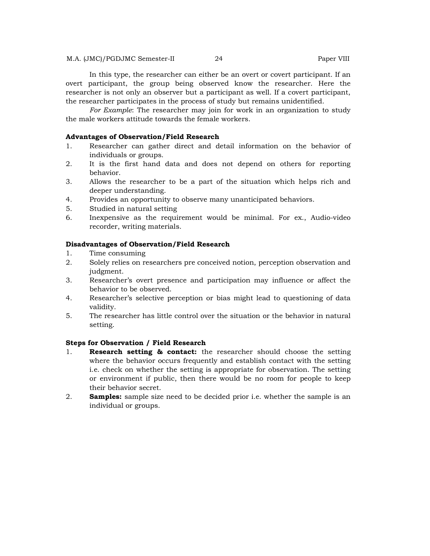M.A. (JMC)/PGDJMC Semester-II 24 Paper VIII

 In this type, the researcher can either be an overt or covert participant. If an overt participant, the group being observed know the researcher. Here the researcher is not only an observer but a participant as well. If a covert participant, the researcher participates in the process of study but remains unidentified.

 *For Example*: The researcher may join for work in an organization to study the male workers attitude towards the female workers.

#### **Advantages of Observation/Field Research**

- 1. Researcher can gather direct and detail information on the behavior of individuals or groups.
- 2. It is the first hand data and does not depend on others for reporting behavior.
- 3. Allows the researcher to be a part of the situation which helps rich and deeper understanding.
- 4. Provides an opportunity to observe many unanticipated behaviors.
- 5. Studied in natural setting
- 6. Inexpensive as the requirement would be minimal. For ex., Audio-video recorder, writing materials.

#### **Disadvantages of Observation/Field Research**

- 1. Time consuming
- 2. Solely relies on researchers pre conceived notion, perception observation and judgment.
- 3. Researcher's overt presence and participation may influence or affect the behavior to be observed.
- 4. Researcher's selective perception or bias might lead to questioning of data validity.
- 5. The researcher has little control over the situation or the behavior in natural setting.

### **Steps for Observation / Field Research**

- 1. **Research setting & contact:** the researcher should choose the setting where the behavior occurs frequently and establish contact with the setting i.e. check on whether the setting is appropriate for observation. The setting or environment if public, then there would be no room for people to keep their behavior secret.
- 2. **Samples:** sample size need to be decided prior i.e. whether the sample is an individual or groups.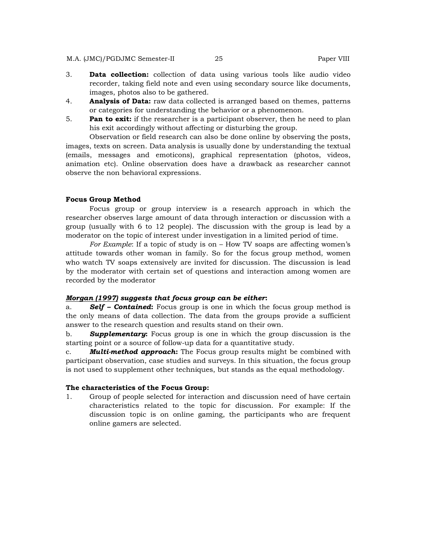M.A. (JMC)/PGDJMC Semester-II 25 Paper VIII

- 3. **Data collection:** collection of data using various tools like audio video recorder, taking field note and even using secondary source like documents, images, photos also to be gathered.
- 4. **Analysis of Data:** raw data collected is arranged based on themes, patterns or categories for understanding the behavior or a phenomenon.
- 5. **Pan to exit:** if the researcher is a participant observer, then he need to plan his exit accordingly without affecting or disturbing the group.

 Observation or field research can also be done online by observing the posts, images, texts on screen. Data analysis is usually done by understanding the textual (emails, messages and emoticons), graphical representation (photos, videos, animation etc). Online observation does have a drawback as researcher cannot observe the non behavioral expressions.

#### **Focus Group Method**

 Focus group or group interview is a research approach in which the researcher observes large amount of data through interaction or discussion with a group (usually with 6 to 12 people). The discussion with the group is lead by a moderator on the topic of interest under investigation in a limited period of time.

 *For Example*: If a topic of study is on – How TV soaps are affecting women's attitude towards other woman in family. So for the focus group method, women who watch TV soaps extensively are invited for discussion. The discussion is lead by the moderator with certain set of questions and interaction among women are recorded by the moderator

#### *Morgan (1997) suggests that focus group can be either***:**

a. *Self – Contained***:** Focus group is one in which the focus group method is the only means of data collection. The data from the groups provide a sufficient answer to the research question and results stand on their own.

b. *Supplementary***:** Focus group is one in which the group discussion is the starting point or a source of follow-up data for a quantitative study.

c. *Multi-method approach***:** The Focus group results might be combined with participant observation, case studies and surveys. In this situation, the focus group is not used to supplement other techniques, but stands as the equal methodology.

#### **The characteristics of the Focus Group:**

1. Group of people selected for interaction and discussion need of have certain characteristics related to the topic for discussion. For example: If the discussion topic is on online gaming, the participants who are frequent online gamers are selected.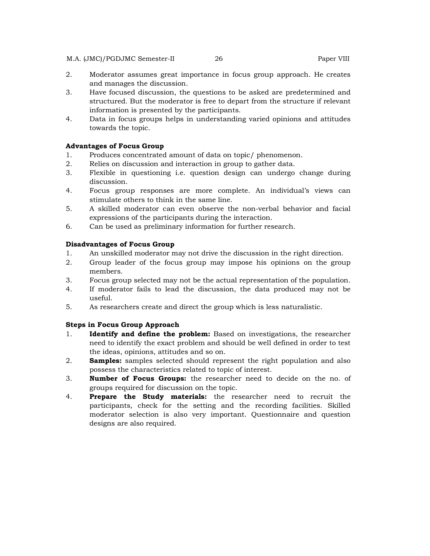#### M.A. (JMC)/PGDJMC Semester-II 26 Paper VIII

- 2. Moderator assumes great importance in focus group approach. He creates and manages the discussion.
- 3. Have focused discussion, the questions to be asked are predetermined and structured. But the moderator is free to depart from the structure if relevant information is presented by the participants.
- 4. Data in focus groups helps in understanding varied opinions and attitudes towards the topic.

# **Advantages of Focus Group**

- 1. Produces concentrated amount of data on topic/ phenomenon.
- 2. Relies on discussion and interaction in group to gather data.
- 3. Flexible in questioning i.e. question design can undergo change during discussion.
- 4. Focus group responses are more complete. An individual's views can stimulate others to think in the same line.
- 5. A skilled moderator can even observe the non-verbal behavior and facial expressions of the participants during the interaction.
- 6. Can be used as preliminary information for further research.

### **Disadvantages of Focus Group**

- 1. An unskilled moderator may not drive the discussion in the right direction.
- 2. Group leader of the focus group may impose his opinions on the group members.
- 3. Focus group selected may not be the actual representation of the population.
- 4. If moderator fails to lead the discussion, the data produced may not be useful.
- 5. As researchers create and direct the group which is less naturalistic.

# **Steps in Focus Group Approach**

- 1. **Identify and define the problem:** Based on investigations, the researcher need to identify the exact problem and should be well defined in order to test the ideas, opinions, attitudes and so on.
- 2. **Samples:** samples selected should represent the right population and also possess the characteristics related to topic of interest.
- 3. **Number of Focus Groups:** the researcher need to decide on the no. of groups required for discussion on the topic.
- 4. **Prepare the Study materials:** the researcher need to recruit the participants, check for the setting and the recording facilities. Skilled moderator selection is also very important. Questionnaire and question designs are also required.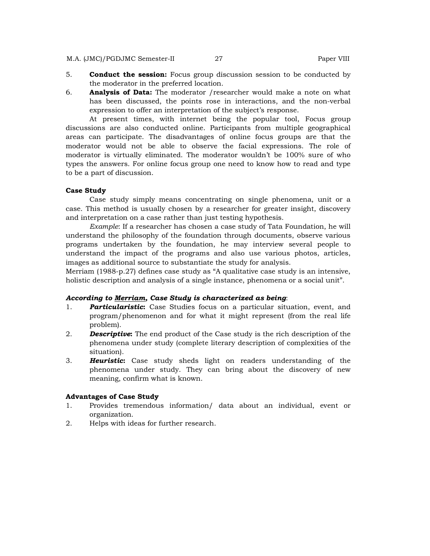- 5. **Conduct the session:** Focus group discussion session to be conducted by the moderator in the preferred location.
- 6. **Analysis of Data:** The moderator /researcher would make a note on what has been discussed, the points rose in interactions, and the non-verbal expression to offer an interpretation of the subject's response.

 At present times, with internet being the popular tool, Focus group discussions are also conducted online. Participants from multiple geographical areas can participate. The disadvantages of online focus groups are that the moderator would not be able to observe the facial expressions. The role of moderator is virtually eliminated. The moderator wouldn't be 100% sure of who types the answers. For online focus group one need to know how to read and type to be a part of discussion.

#### **Case Study**

 Case study simply means concentrating on single phenomena, unit or a case. This method is usually chosen by a researcher for greater insight, discovery and interpretation on a case rather than just testing hypothesis.

 *Example*: If a researcher has chosen a case study of Tata Foundation, he will understand the philosophy of the foundation through documents, observe various programs undertaken by the foundation, he may interview several people to understand the impact of the programs and also use various photos, articles, images as additional source to substantiate the study for analysis.

Merriam (1988-p.27) defines case study as "A qualitative case study is an intensive, holistic description and analysis of a single instance, phenomena or a social unit".

#### *According to Merriam, Case Study is characterized as being*:

- 1. *Particularistic***:** Case Studies focus on a particular situation, event, and program/phenomenon and for what it might represent (from the real life problem).
- 2. *Descriptive***:** The end product of the Case study is the rich description of the phenomena under study (complete literary description of complexities of the situation).
- 3. *Heuristic***:** Case study sheds light on readers understanding of the phenomena under study. They can bring about the discovery of new meaning, confirm what is known.

#### **Advantages of Case Study**

- 1. Provides tremendous information/ data about an individual, event or organization.
- 2. Helps with ideas for further research.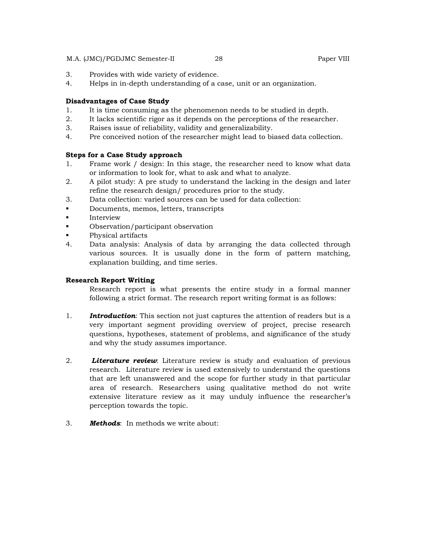### M.A. (JMC)/PGDJMC Semester-II 28 Paper VIII

- 3. Provides with wide variety of evidence.
- 4. Helps in in-depth understanding of a case, unit or an organization.

# **Disadvantages of Case Study**

- 1. It is time consuming as the phenomenon needs to be studied in depth.
- 2. It lacks scientific rigor as it depends on the perceptions of the researcher.
- 3. Raises issue of reliability, validity and generalizability.
- 4. Pre conceived notion of the researcher might lead to biased data collection.

# **Steps for a Case Study approach**

- 1. Frame work / design: In this stage, the researcher need to know what data or information to look for, what to ask and what to analyze.
- 2. A pilot study: A pre study to understand the lacking in the design and later refine the research design/ procedures prior to the study.
- 3. Data collection: varied sources can be used for data collection:
- Documents, memos, letters, transcripts
- **Interview**
- Observation/participant observation
- Physical artifacts
- 4. Data analysis: Analysis of data by arranging the data collected through various sources. It is usually done in the form of pattern matching, explanation building, and time series.

# **Research Report Writing**

 Research report is what presents the entire study in a formal manner following a strict format. The research report writing format is as follows:

- 1. *Introduction*: This section not just captures the attention of readers but is a very important segment providing overview of project, precise research questions, hypotheses, statement of problems, and significance of the study and why the study assumes importance.
- 2. *Literature review*: Literature review is study and evaluation of previous research. Literature review is used extensively to understand the questions that are left unanswered and the scope for further study in that particular area of research. Researchers using qualitative method do not write extensive literature review as it may unduly influence the researcher's perception towards the topic.
- 3. *Methods*: In methods we write about: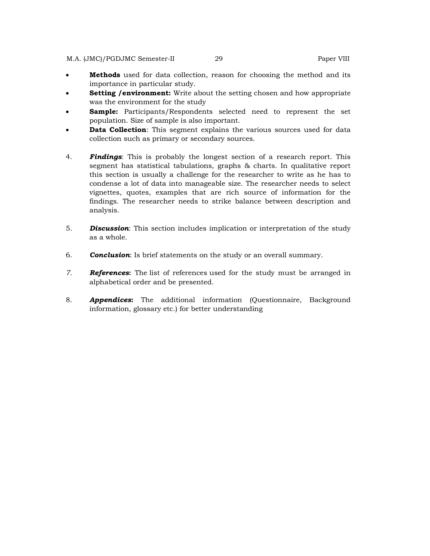- **Methods** used for data collection, reason for choosing the method and its importance in particular study.
- **Setting /environment:** Write about the setting chosen and how appropriate was the environment for the study
- **Sample:** Participants/Respondents selected need to represent the set population. Size of sample is also important.
- **Data Collection**: This segment explains the various sources used for data collection such as primary or secondary sources.
- 4. *Findings*: This is probably the longest section of a research report. This segment has statistical tabulations, graphs & charts. In qualitative report this section is usually a challenge for the researcher to write as he has to condense a lot of data into manageable size. The researcher needs to select vignettes, quotes, examples that are rich source of information for the findings. The researcher needs to strike balance between description and analysis.
- 5. *Discussion*: This section includes implication or interpretation of the study as a whole.
- 6. *Conclusion*: Is brief statements on the study or an overall summary.
- *7. References***:** The list of references used for the study must be arranged in alphabetical order and be presented.
- 8. *Appendices***:** The additional information (Questionnaire, Background information, glossary etc.) for better understanding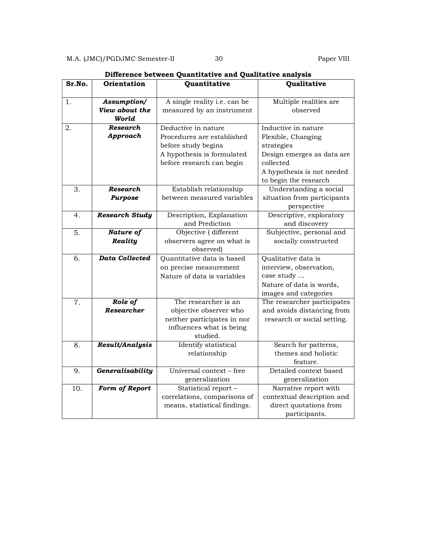| Sr.No.  | <b>Orientation</b>            | DINCLUNCU DUCWUCH QUAHLILALIVU AHA QUAHLALIVU AHAIYSIS<br>Quantitative | Qualitative                                               |
|---------|-------------------------------|------------------------------------------------------------------------|-----------------------------------------------------------|
| 1.      | Assumption/<br>View about the | A single reality i.e. can be<br>measured by an instrument              | Multiple realities are<br>observed                        |
|         | World                         |                                                                        |                                                           |
| 2.      | Research                      | Deductive in nature                                                    | Inductive in nature                                       |
|         | Approach                      | Procedures are established                                             | Flexible, Changing                                        |
|         |                               | before study begins<br>A hypothesis is formulated                      | strategies                                                |
|         |                               | before research can begin                                              | Design emerges as data are<br>collected                   |
|         |                               |                                                                        | A hypothesis is not needed                                |
|         |                               |                                                                        | to begin the research                                     |
| 3.      | Research                      | Establish relationship                                                 | Understanding a social                                    |
|         | <b>Purpose</b>                | between measured variables                                             | situation from participants                               |
|         |                               |                                                                        | perspective                                               |
| 4.      | <b>Research Study</b>         | Description, Explanation                                               | Descriptive, exploratory                                  |
|         |                               | and Prediction                                                         | and discovery                                             |
| 5.      | Nature of                     | Objective (different                                                   | Subjective, personal and                                  |
|         | Reality                       | observers agree on what is                                             | socially constructed                                      |
|         |                               | observed)                                                              |                                                           |
| 6.      | <b>Data Collected</b>         | Quantitative data is based                                             | Qualitative data is                                       |
|         |                               | on precise measurement                                                 | interview, observation,                                   |
|         |                               | Nature of data is variables                                            | case study                                                |
|         |                               |                                                                        | Nature of data is words,                                  |
|         |                               |                                                                        | images and categories                                     |
| $7. \,$ | Role of<br>Researcher         | The researcher is an<br>objective observer who                         | The researcher participates<br>and avoids distancing from |
|         |                               | neither participates in nor                                            | research or social setting.                               |
|         |                               | influences what is being                                               |                                                           |
|         |                               | studied.                                                               |                                                           |
| 8.      | Result/Analysis               | Identify statistical                                                   | Search for patterns,                                      |
|         |                               | relationship                                                           | themes and holistic                                       |
|         |                               |                                                                        | feature.                                                  |
| 9.      | Generalisability              | Universal context - free                                               | Detailed context based                                    |
|         |                               | generalization                                                         | generalization                                            |
| 10.     | Form of Report                | Statistical report -                                                   | Narrative report with                                     |
|         |                               | correlations, comparisons of                                           | contextual description and                                |
|         |                               | means, statistical findings.                                           | direct quotations from                                    |
|         |                               |                                                                        | participants.                                             |

**Difference between Quantitative and Qualitative analysis**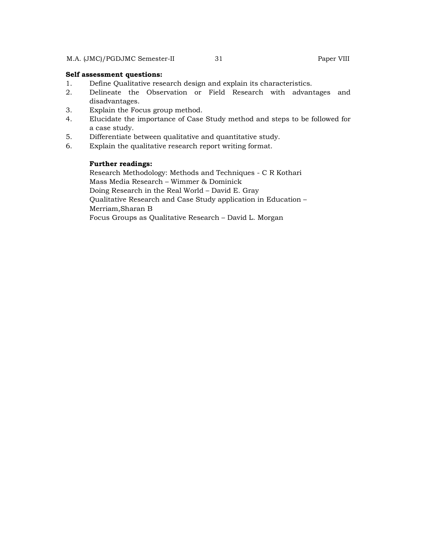### **Self assessment questions:**

- 1. Define Qualitative research design and explain its characteristics.
- 2. Delineate the Observation or Field Research with advantages and disadvantages.
- 3. Explain the Focus group method.
- 4. Elucidate the importance of Case Study method and steps to be followed for a case study.
- 5. Differentiate between qualitative and quantitative study.
- 6. Explain the qualitative research report writing format.

# **Further readings:**

Research Methodology: Methods and Techniques - C R Kothari Mass Media Research – Wimmer & Dominick Doing Research in the Real World – David E. Gray Qualitative Research and Case Study application in Education – Merriam,Sharan B Focus Groups as Qualitative Research – David L. Morgan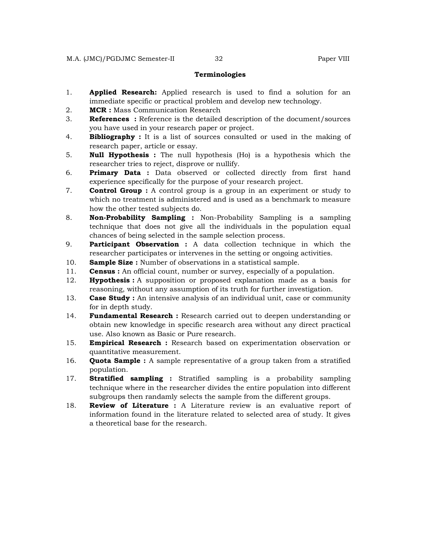#### **Terminologies**

- 1. **Applied Research:** Applied research is used to find a solution for an immediate specific or practical problem and develop new technology.
- 2. **MCR :** Mass Communication Research
- 3. **References :** Reference is the detailed description of the document/sources you have used in your research paper or project.
- 4. **Bibliography :** It is a list of sources consulted or used in the making of research paper, article or essay.
- 5. **Null Hypothesis :** The null hypothesis (Ho) is a hypothesis which the researcher tries to reject, disprove or nullify.
- 6. **Primary Data :** Data observed or collected directly from first hand experience specifically for the purpose of your research project.
- 7. **Control Group :** A control group is a group in an experiment or study to which no treatment is administered and is used as a benchmark to measure how the other tested subjects do.
- 8. **Non-Probability Sampling :** Non-Probability Sampling is a sampling technique that does not give all the individuals in the population equal chances of being selected in the sample selection process.
- 9. **Participant Observation :** A data collection technique in which the researcher participates or intervenes in the setting or ongoing activities.
- 10. **Sample Size :** Number of observations in a statistical sample.
- 11. **Census :** An official count, number or survey, especially of a population.
- 12. **Hypothesis :** A supposition or proposed explanation made as a basis for reasoning, without any assumption of its truth for further investigation.
- 13. **Case Study :** An intensive analysis of an individual unit, case or community for in depth study.
- 14. **Fundamental Research :** Research carried out to deepen understanding or obtain new knowledge in specific research area without any direct practical use. Also known as Basic or Pure research.
- 15. **Empirical Research :** Research based on experimentation observation or quantitative measurement.
- 16. **Quota Sample :** A sample representative of a group taken from a stratified population.
- 17. **Stratified sampling :** Stratified sampling is a probability sampling technique where in the researcher divides the entire population into different subgroups then randamly selects the sample from the different groups.
- 18. **Review of Literature :** A Literature review is an evaluative report of information found in the literature related to selected area of study. It gives a theoretical base for the research.